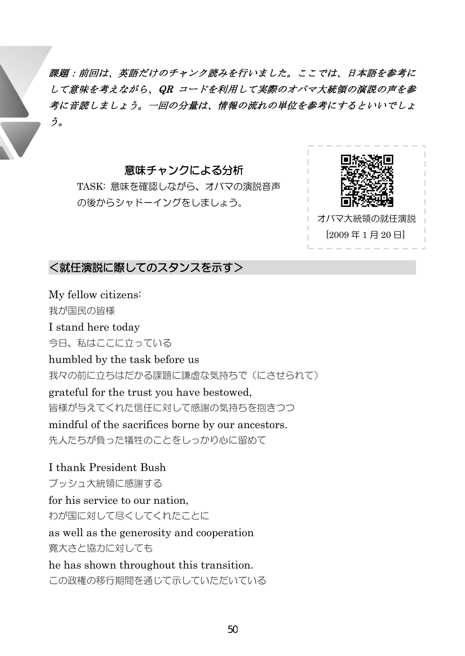課題:前回は、英語だけのチャンク読みを行いました。ここでは、日本語を参考に して意味を考えながら、QR コードを利用して実際のオバマ大統領の演説の声を参 考に音読しましょう。一回の分量は、情報の流れの単位を参考にするといいでしょ う。

## 意味チャンクによる分析

TASK: 意味を確認しながら、オバマの演説音声 の後からシャドーイングをしましょう。



<就任演説に際してのスタンスを示す>

My fellow citizens: 我が国民の皆様 I stand here today 今日、私はここに立っている humbled by the task before us 我々の前に立ちはだかる課題に謙虚な気持ちで(にさせられて) grateful for the trust you have bestowed, 皆様が与えてくれた信任に対して感謝の気持ちを抱きつつ mindful of the sacrifices borne by our ancestors. 先人たちが負った犠牲のことをしっかり心に留めて

I thank President Bush ブッシュ大統領に感謝する for his service to our nation, わが国に対して尽くしてくれたことに as well as the generosity and cooperation 寛大さと協力に対しても he has shown throughout this transition. この政権の移行期間を通じて示していただいている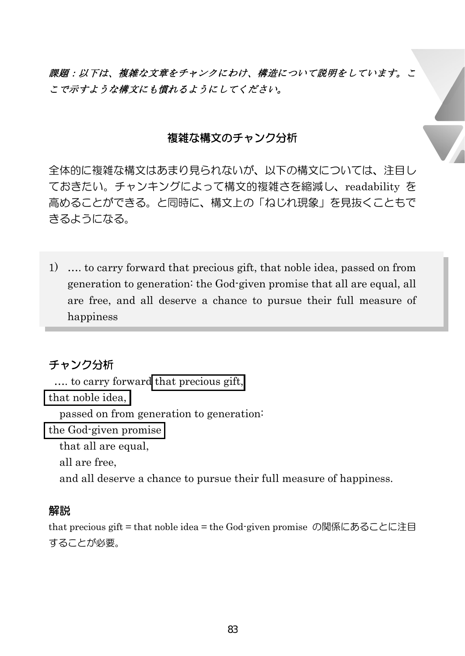課題:以下は、複雑な文章をチャンクにわけ、構造について説明をしています。こ こで示すような構文にも慣れるようにしてください。

### 複雑な構文のチャンク分析

全体的に複雑な構文はあまり見られないが、以下の構文については、注目し ておきたい。チャンキングによって構文的複雑さを縮減し、readability を 高めることができる。と同時に、構文上の「ねじれ現象」を見抜くこともで きるようになる。

1) …. to carry forward that precious gift, that noble idea, passed on from generation to generation: the God-given promise that all are equal, all are free, and all deserve a chance to pursue their full measure of happiness

# チャンク分析

```
…. to carry forward that precious gift,
```
that noble idea,

passed on from generation to generation:

the God-given promise

that all are equal,

all are free,

and all deserve a chance to pursue their full measure of happiness.

### 解説

that precious gift = that noble idea = the God-given promise の関係にあることに注目 することが必要。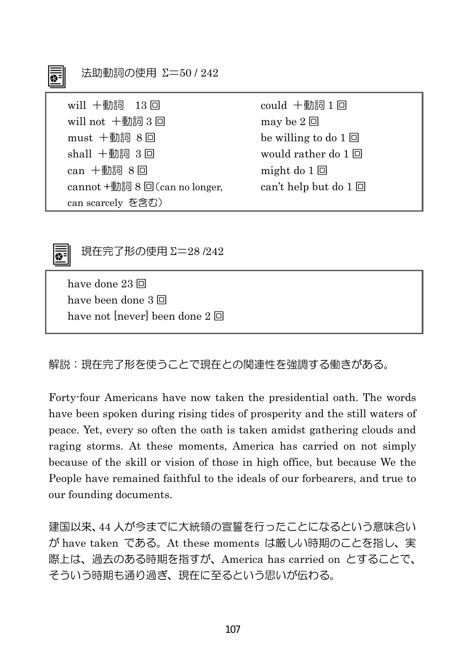| 法助動詞の使用 Σ=50/242<br>不                                       |                            |
|-------------------------------------------------------------|----------------------------|
| will $+$ 動詞 $13$ 回                                          | could +動詞1回                |
| will not +動詞3回                                              | may be $2 \Box$            |
| $must$ 十動詞 8 回                                              | be willing to do $1 \Box$  |
| shall $+$ 動詞 3回                                             | would rather do $1 \Box$   |
| $can + \nexists$ 詞 8回                                       | might do $1 \Box$          |
| cannot $+ \overline{\text{mod } } 8$ $\Box$ (can no longer, | can't help but do $1 \Box$ |
| can scarcely を含む)                                           |                            |



 $=$ 

現在完了形の使用 Σ=28 /242

have done 23 回 have been done 3 回 have not [never] been done 2 回

解説:現在完了形を使うことで現在との関連性を強調する働きがある。

Forty-four Americans have now taken the presidential oath. The words have been spoken during rising tides of prosperity and the still waters of peace. Yet, every so often the oath is taken amidst gathering clouds and raging storms. At these moments, America has carried on not simply because of the skill or vision of those in high office, but because We the People have remained faithful to the ideals of our forbearers, and true to our founding documents.

建国以来、44 人が今までに大統領の宣誓を行ったことになるという意味合い が have taken である。At these moments は厳しい時期のことを指し、実 際上は、過去のある時期を指すが、America has carried on とすることで、 そういう時期も通り過ぎ、現在に至るという思いが伝わる。